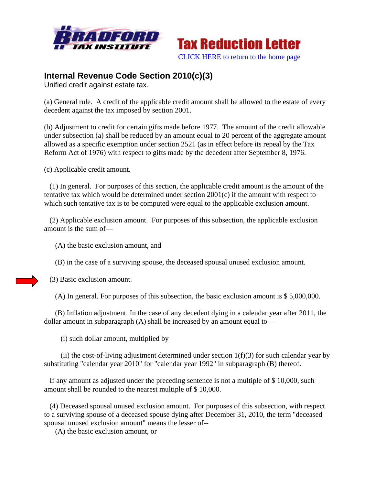



## **Internal Revenue Code Section 2010(c)(3)**

Unified credit against estate tax.

(a) General rule. A credit of the applicable credit amount shall be allowed to the estate of every decedent against the tax imposed by section 2001.

(b) Adjustment to credit for certain gifts made before 1977. The amount of the credit allowable under subsection (a) shall be reduced by an amount equal to 20 percent of the aggregate amount allowed as a specific exemption under section 2521 (as in effect before its repeal by the Tax Reform Act of 1976) with respect to gifts made by the decedent after September 8, 1976.

(c) Applicable credit amount.

 (1) In general. For purposes of this section, the applicable credit amount is the amount of the tentative tax which would be determined under section 2001(c) if the amount with respect to which such tentative tax is to be computed were equal to the applicable exclusion amount.

 (2) Applicable exclusion amount. For purposes of this subsection, the applicable exclusion amount is the sum of—

(A) the basic exclusion amount, and

(B) in the case of a surviving spouse, the deceased spousal unused exclusion amount.

(3) Basic exclusion amount.

(A) In general. For purposes of this subsection, the basic exclusion amount is \$ 5,000,000.

 (B) Inflation adjustment. In the case of any decedent dying in a calendar year after 2011, the dollar amount in subparagraph (A) shall be increased by an amount equal to—

(i) such dollar amount, multiplied by

(ii) the cost-of-living adjustment determined under section  $1(f)(3)$  for such calendar year by substituting "calendar year 2010" for "calendar year 1992" in subparagraph (B) thereof.

 If any amount as adjusted under the preceding sentence is not a multiple of \$ 10,000, such amount shall be rounded to the nearest multiple of \$ 10,000.

 (4) Deceased spousal unused exclusion amount. For purposes of this subsection, with respect to a surviving spouse of a deceased spouse dying after December 31, 2010, the term "deceased spousal unused exclusion amount" means the lesser of--

(A) the basic exclusion amount, or